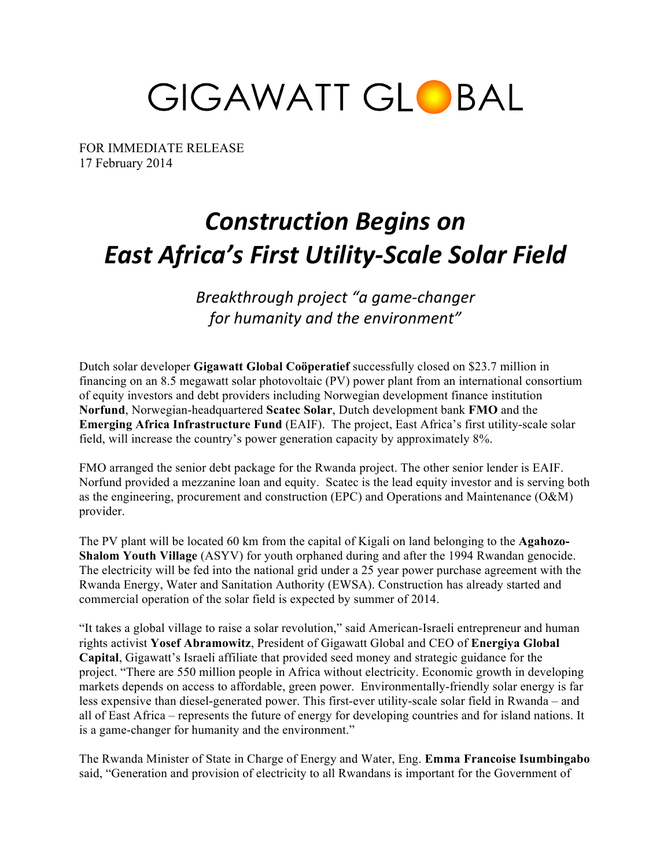GIGAWATT GLOBAL

FOR IMMEDIATE RELEASE 17 February 2014

# *Construction Begins on East Africa's First Utility-Scale Solar Field*

*Breakthrough project "a game-changer*  for humanity and the environment"

Dutch solar developer **Gigawatt Global Coöperatief** successfully closed on \$23.7 million in financing on an 8.5 megawatt solar photovoltaic (PV) power plant from an international consortium of equity investors and debt providers including Norwegian development finance institution **Norfund**, Norwegian-headquartered **Scatec Solar**, Dutch development bank **FMO** and the **Emerging Africa Infrastructure Fund** (EAIF). The project, East Africa's first utility-scale solar field, will increase the country's power generation capacity by approximately 8%.

FMO arranged the senior debt package for the Rwanda project. The other senior lender is EAIF. Norfund provided a mezzanine loan and equity. Scatec is the lead equity investor and is serving both as the engineering, procurement and construction (EPC) and Operations and Maintenance (O&M) provider.

The PV plant will be located 60 km from the capital of Kigali on land belonging to the **Agahozo-Shalom Youth Village** (ASYV) for youth orphaned during and after the 1994 Rwandan genocide. The electricity will be fed into the national grid under a 25 year power purchase agreement with the Rwanda Energy, Water and Sanitation Authority (EWSA). Construction has already started and commercial operation of the solar field is expected by summer of 2014.

"It takes a global village to raise a solar revolution," said American-Israeli entrepreneur and human rights activist **Yosef Abramowitz**, President of Gigawatt Global and CEO of **Energiya Global Capital**, Gigawatt's Israeli affiliate that provided seed money and strategic guidance for the project. "There are 550 million people in Africa without electricity. Economic growth in developing markets depends on access to affordable, green power. Environmentally-friendly solar energy is far less expensive than diesel-generated power. This first-ever utility-scale solar field in Rwanda – and all of East Africa – represents the future of energy for developing countries and for island nations. It is a game-changer for humanity and the environment."

The Rwanda Minister of State in Charge of Energy and Water, Eng. **Emma Francoise Isumbingabo** said, "Generation and provision of electricity to all Rwandans is important for the Government of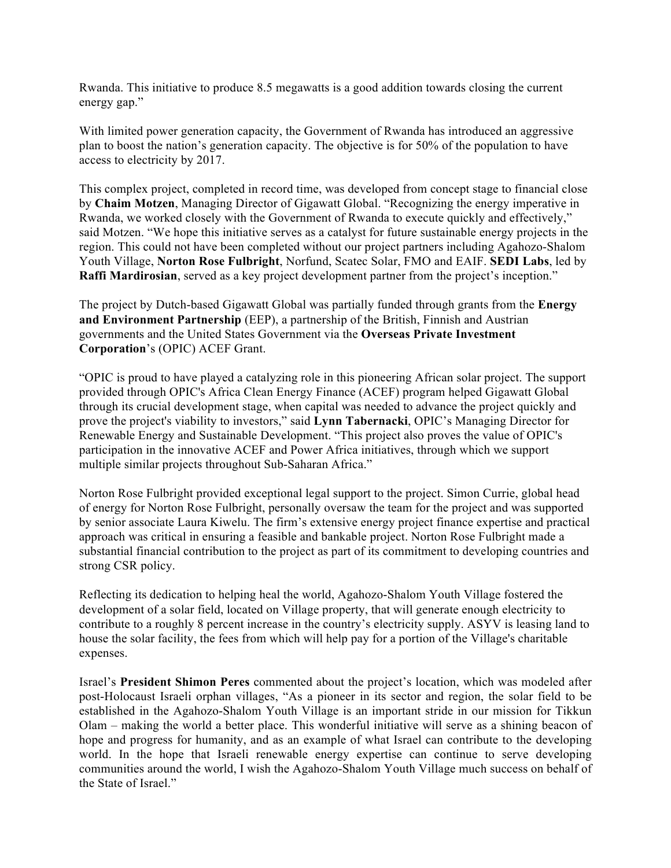Rwanda. This initiative to produce 8.5 megawatts is a good addition towards closing the current energy gap."

With limited power generation capacity, the Government of Rwanda has introduced an aggressive plan to boost the nation's generation capacity. The objective is for 50% of the population to have access to electricity by 2017.

This complex project, completed in record time, was developed from concept stage to financial close by **Chaim Motzen**, Managing Director of Gigawatt Global. "Recognizing the energy imperative in Rwanda, we worked closely with the Government of Rwanda to execute quickly and effectively," said Motzen. "We hope this initiative serves as a catalyst for future sustainable energy projects in the region. This could not have been completed without our project partners including Agahozo-Shalom Youth Village, **Norton Rose Fulbright**, Norfund, Scatec Solar, FMO and EAIF. **SEDI Labs**, led by **Raffi Mardirosian**, served as a key project development partner from the project's inception."

The project by Dutch-based Gigawatt Global was partially funded through grants from the **Energy and Environment Partnership** (EEP), a partnership of the British, Finnish and Austrian governments and the United States Government via the **Overseas Private Investment Corporation**'s (OPIC) ACEF Grant.

"OPIC is proud to have played a catalyzing role in this pioneering African solar project. The support provided through OPIC's Africa Clean Energy Finance (ACEF) program helped Gigawatt Global through its crucial development stage, when capital was needed to advance the project quickly and prove the project's viability to investors," said **Lynn Tabernacki**, OPIC's Managing Director for Renewable Energy and Sustainable Development. "This project also proves the value of OPIC's participation in the innovative ACEF and Power Africa initiatives, through which we support multiple similar projects throughout Sub-Saharan Africa."

Norton Rose Fulbright provided exceptional legal support to the project. Simon Currie, global head of energy for Norton Rose Fulbright, personally oversaw the team for the project and was supported by senior associate Laura Kiwelu. The firm's extensive energy project finance expertise and practical approach was critical in ensuring a feasible and bankable project. Norton Rose Fulbright made a substantial financial contribution to the project as part of its commitment to developing countries and strong CSR policy.

Reflecting its dedication to helping heal the world, Agahozo-Shalom Youth Village fostered the development of a solar field, located on Village property, that will generate enough electricity to contribute to a roughly 8 percent increase in the country's electricity supply. ASYV is leasing land to house the solar facility, the fees from which will help pay for a portion of the Village's charitable expenses.

Israel's **President Shimon Peres** commented about the project's location, which was modeled after post-Holocaust Israeli orphan villages, "As a pioneer in its sector and region, the solar field to be established in the Agahozo-Shalom Youth Village is an important stride in our mission for Tikkun Olam – making the world a better place. This wonderful initiative will serve as a shining beacon of hope and progress for humanity, and as an example of what Israel can contribute to the developing world. In the hope that Israeli renewable energy expertise can continue to serve developing communities around the world, I wish the Agahozo-Shalom Youth Village much success on behalf of the State of Israel."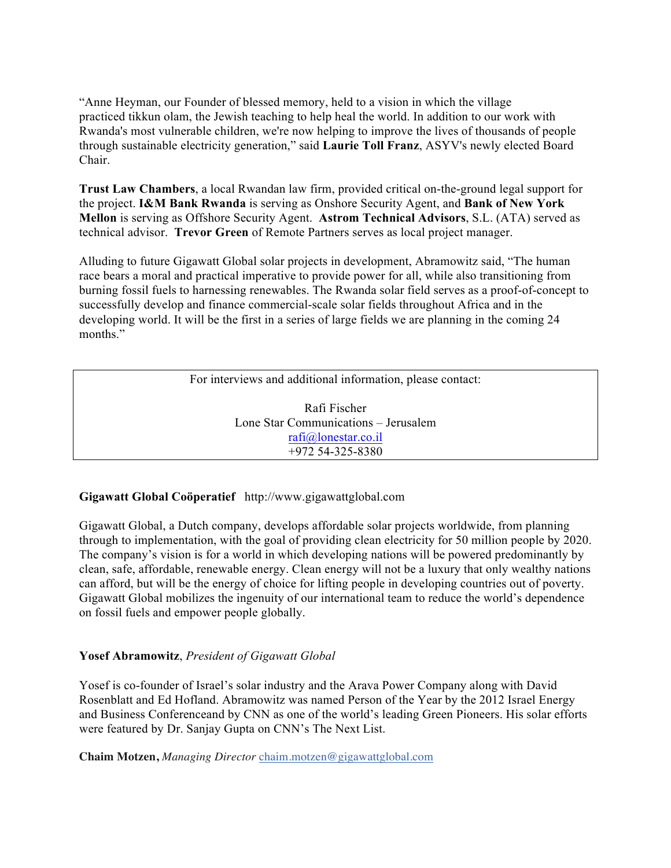"Anne Heyman, our Founder of blessed memory, held to a vision in which the village practiced tikkun olam, the Jewish teaching to help heal the world. In addition to our work with Rwanda's most vulnerable children, we're now helping to improve the lives of thousands of people through sustainable electricity generation," said **Laurie Toll Franz**, ASYV's newly elected Board Chair.

**Trust Law Chambers**, a local Rwandan law firm, provided critical on-the-ground legal support for the project. **I&M Bank Rwanda** is serving as Onshore Security Agent, and **Bank of New York Mellon** is serving as Offshore Security Agent. **Astrom Technical Advisors**, S.L. (ATA) served as technical advisor. **Trevor Green** of Remote Partners serves as local project manager.

Alluding to future Gigawatt Global solar projects in development, Abramowitz said, "The human race bears a moral and practical imperative to provide power for all, while also transitioning from burning fossil fuels to harnessing renewables. The Rwanda solar field serves as a proof-of-concept to successfully develop and finance commercial-scale solar fields throughout Africa and in the developing world. It will be the first in a series of large fields we are planning in the coming 24 months."

For interviews and additional information, please contact:

Rafi Fischer Lone Star Communications – Jerusalem rafi@lonestar.co.il +972 54-325-8380

# **Gigawatt Global Coöperatief** http://www.gigawattglobal.com

Gigawatt Global, a Dutch company, develops affordable solar projects worldwide, from planning through to implementation, with the goal of providing clean electricity for 50 million people by 2020. The company's vision is for a world in which developing nations will be powered predominantly by clean, safe, affordable, renewable energy. Clean energy will not be a luxury that only wealthy nations can afford, but will be the energy of choice for lifting people in developing countries out of poverty. Gigawatt Global mobilizes the ingenuity of our international team to reduce the world's dependence on fossil fuels and empower people globally.

## **Yosef Abramowitz**, *President of Gigawatt Global*

Yosef is co-founder of Israel's solar industry and the Arava Power Company along with David Rosenblatt and Ed Hofland. Abramowitz was named Person of the Year by the 2012 Israel Energy and Business Conferenceand by CNN as one of the world's leading Green Pioneers. His solar efforts were featured by Dr. Sanjay Gupta on CNN's The Next List.

**Chaim Motzen,** *Managing Director* chaim.motzen@gigawattglobal.com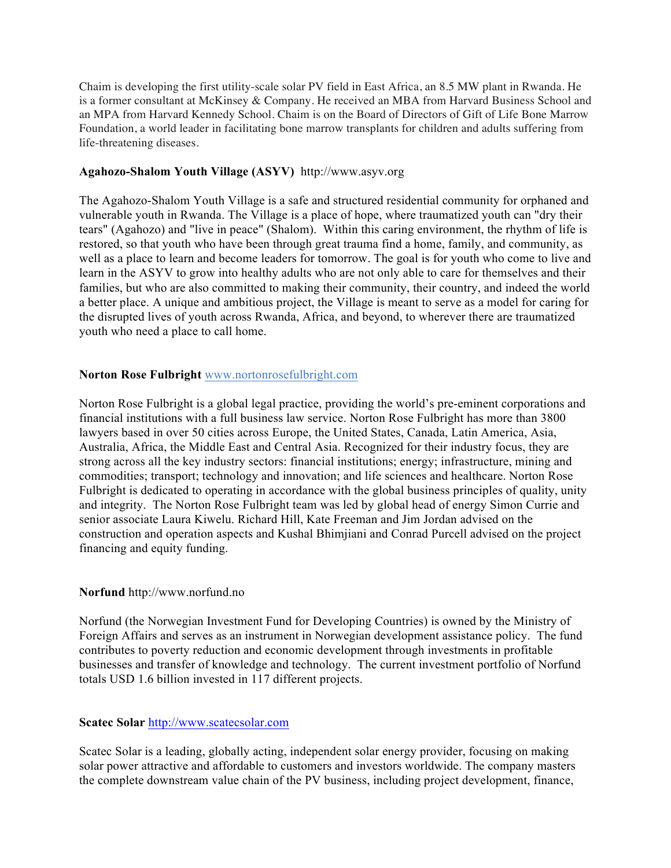Chaim is developing the first utility-scale solar PV field in East Africa, an 8.5 MW plant in Rwanda. He is a former consultant at McKinsey & Company. He received an MBA from Harvard Business School and an MPA from Harvard Kennedy School. Chaim is on the Board of Directors of Gift of Life Bone Marrow Foundation, a world leader in facilitating bone marrow transplants for children and adults suffering from life-threatening diseases.

## **Agahozo-Shalom Youth Village (ASYV)** http://www.asyv.org

The Agahozo-Shalom Youth Village is a safe and structured residential community for orphaned and vulnerable youth in Rwanda. The Village is a place of hope, where traumatized youth can "dry their tears" (Agahozo) and "live in peace" (Shalom). Within this caring environment, the rhythm of life is restored, so that youth who have been through great trauma find a home, family, and community, as well as a place to learn and become leaders for tomorrow. The goal is for youth who come to live and learn in the ASYV to grow into healthy adults who are not only able to care for themselves and their families, but who are also committed to making their community, their country, and indeed the world a better place. A unique and ambitious project, the Village is meant to serve as a model for caring for the disrupted lives of youth across Rwanda, Africa, and beyond, to wherever there are traumatized youth who need a place to call home.

## **Norton Rose Fulbright** www.nortonrosefulbright.com

Norton Rose Fulbright is a global legal practice, providing the world's pre-eminent corporations and financial institutions with a full business law service. Norton Rose Fulbright has more than 3800 lawyers based in over 50 cities across Europe, the United States, Canada, Latin America, Asia, Australia, Africa, the Middle East and Central Asia. Recognized for their industry focus, they are strong across all the key industry sectors: financial institutions; energy; infrastructure, mining and commodities; transport; technology and innovation; and life sciences and healthcare. Norton Rose Fulbright is dedicated to operating in accordance with the global business principles of quality, unity and integrity. The Norton Rose Fulbright team was led by global head of energy Simon Currie and senior associate Laura Kiwelu. Richard Hill, Kate Freeman and Jim Jordan advised on the construction and operation aspects and Kushal Bhimjiani and Conrad Purcell advised on the project financing and equity funding.

## **Norfund** http://www.norfund.no

Norfund (the Norwegian Investment Fund for Developing Countries) is owned by the Ministry of Foreign Affairs and serves as an instrument in Norwegian development assistance policy. The fund contributes to poverty reduction and economic development through investments in profitable businesses and transfer of knowledge and technology. The current investment portfolio of Norfund totals USD 1.6 billion invested in 117 different projects.

## **Scatec Solar** http://www.scatecsolar.com

Scatec Solar is a leading, globally acting, independent solar energy provider, focusing on making solar power attractive and affordable to customers and investors worldwide. The company masters the complete downstream value chain of the PV business, including project development, finance,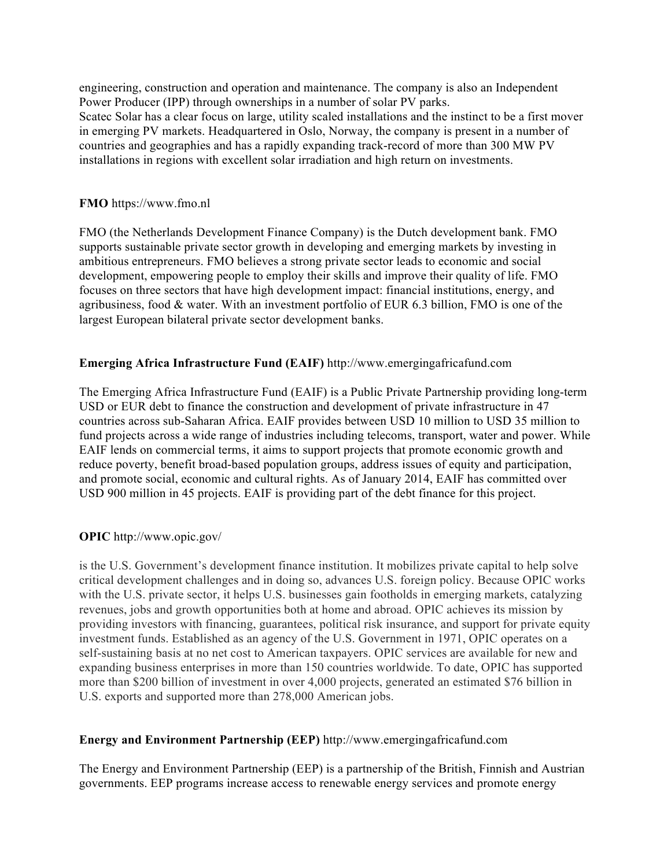engineering, construction and operation and maintenance. The company is also an Independent Power Producer (IPP) through ownerships in a number of solar PV parks. Scatec Solar has a clear focus on large, utility scaled installations and the instinct to be a first mover in emerging PV markets. Headquartered in Oslo, Norway, the company is present in a number of countries and geographies and has a rapidly expanding track-record of more than 300 MW PV installations in regions with excellent solar irradiation and high return on investments.

#### **FMO** https://www.fmo.nl

FMO (the Netherlands Development Finance Company) is the Dutch development bank. FMO supports sustainable private sector growth in developing and emerging markets by investing in ambitious entrepreneurs. FMO believes a strong private sector leads to economic and social development, empowering people to employ their skills and improve their quality of life. FMO focuses on three sectors that have high development impact: financial institutions, energy, and agribusiness, food & water. With an investment portfolio of EUR 6.3 billion, FMO is one of the largest European bilateral private sector development banks.

## **Emerging Africa Infrastructure Fund (EAIF)** http://www.emergingafricafund.com

The Emerging Africa Infrastructure Fund (EAIF) is a Public Private Partnership providing long-term USD or EUR debt to finance the construction and development of private infrastructure in 47 countries across sub-Saharan Africa. EAIF provides between USD 10 million to USD 35 million to fund projects across a wide range of industries including telecoms, transport, water and power. While EAIF lends on commercial terms, it aims to support projects that promote economic growth and reduce poverty, benefit broad-based population groups, address issues of equity and participation, and promote social, economic and cultural rights. As of January 2014, EAIF has committed over USD 900 million in 45 projects. EAIF is providing part of the debt finance for this project.

## **OPIC** http://www.opic.gov/

is the U.S. Government's development finance institution. It mobilizes private capital to help solve critical development challenges and in doing so, advances U.S. foreign policy. Because OPIC works with the U.S. private sector, it helps U.S. businesses gain footholds in emerging markets, catalyzing revenues, jobs and growth opportunities both at home and abroad. OPIC achieves its mission by providing investors with financing, guarantees, political risk insurance, and support for private equity investment funds. Established as an agency of the U.S. Government in 1971, OPIC operates on a self-sustaining basis at no net cost to American taxpayers. OPIC services are available for new and expanding business enterprises in more than 150 countries worldwide. To date, OPIC has supported more than \$200 billion of investment in over 4,000 projects, generated an estimated \$76 billion in U.S. exports and supported more than 278,000 American jobs.

## **Energy and Environment Partnership (EEP)** http://www.emergingafricafund.com

The Energy and Environment Partnership (EEP) is a partnership of the British, Finnish and Austrian governments. EEP programs increase access to renewable energy services and promote energy